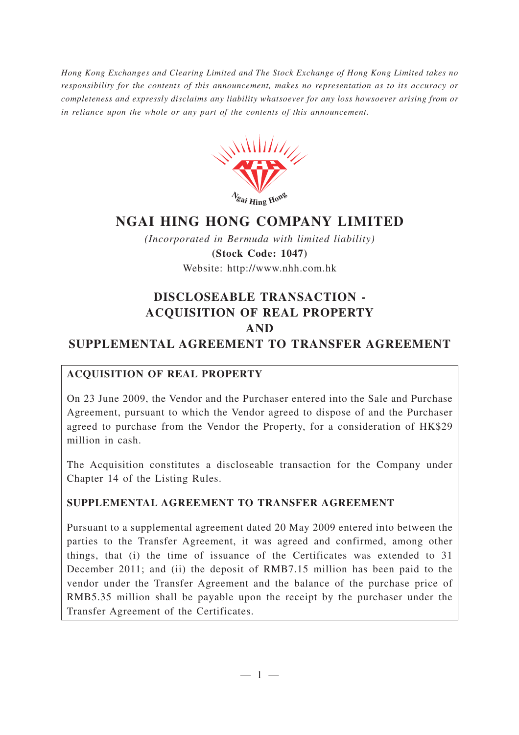*Hong Kong Exchanges and Clearing Limited and The Stock Exchange of Hong Kong Limited takes no responsibility for the contents of this announcement, makes no representation as to its accuracy or completeness and expressly disclaims any liability whatsoever for any loss howsoever arising from or in reliance upon the whole or any part of the contents of this announcement.*



# **NGAI HING HONG COMPANY LIMITED**

*(Incorporated in Bermuda with limited liability)* **(Stock Code: 1047)** Website: http://www.nhh.com.hk

## **DISCLOSEABLE TRANSACTION - ACQUISITION OF REAL PROPERTY AND**

## **SUPPLEMENTAL AGREEMENT TO TRANSFER AGREEMENT**

## **ACQUISITION OF REAL PROPERTY**

On 23 June 2009, the Vendor and the Purchaser entered into the Sale and Purchase Agreement, pursuant to which the Vendor agreed to dispose of and the Purchaser agreed to purchase from the Vendor the Property, for a consideration of HK\$29 million in cash.

The Acquisition constitutes a discloseable transaction for the Company under Chapter 14 of the Listing Rules.

## **SUPPLEMENTAL AGREEMENT TO TRANSFER AGREEMENT**

Pursuant to a supplemental agreement dated 20 May 2009 entered into between the parties to the Transfer Agreement, it was agreed and confirmed, among other things, that (i) the time of issuance of the Certificates was extended to 31 December 2011; and (ii) the deposit of RMB7.15 million has been paid to the vendor under the Transfer Agreement and the balance of the purchase price of RMB5.35 million shall be payable upon the receipt by the purchaser under the Transfer Agreement of the Certificates.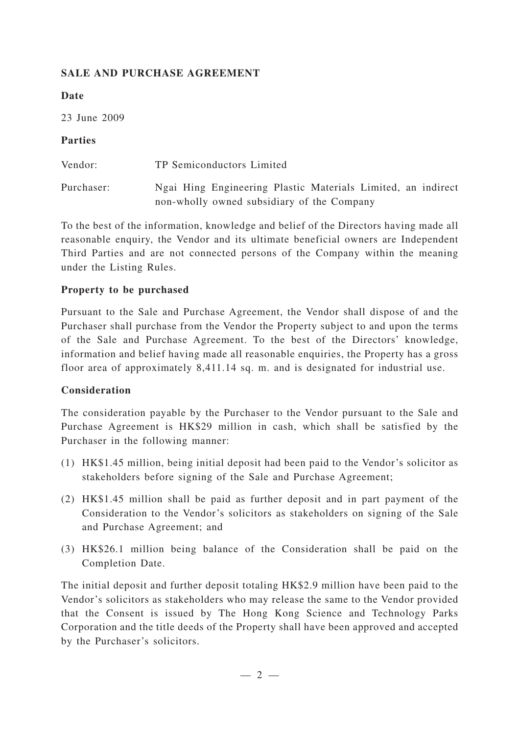#### **SALE AND PURCHASE AGREEMENT**

#### **Date**

23 June 2009

### **Parties**

| Vendor:    | TP Semiconductors Limited                                                                                  |
|------------|------------------------------------------------------------------------------------------------------------|
| Purchaser: | Ngai Hing Engineering Plastic Materials Limited, an indirect<br>non-wholly owned subsidiary of the Company |

To the best of the information, knowledge and belief of the Directors having made all reasonable enquiry, the Vendor and its ultimate beneficial owners are Independent Third Parties and are not connected persons of the Company within the meaning under the Listing Rules.

#### **Property to be purchased**

Pursuant to the Sale and Purchase Agreement, the Vendor shall dispose of and the Purchaser shall purchase from the Vendor the Property subject to and upon the terms of the Sale and Purchase Agreement. To the best of the Directors' knowledge, information and belief having made all reasonable enquiries, the Property has a gross floor area of approximately 8,411.14 sq. m. and is designated for industrial use.

#### **Consideration**

The consideration payable by the Purchaser to the Vendor pursuant to the Sale and Purchase Agreement is HK\$29 million in cash, which shall be satisfied by the Purchaser in the following manner:

- (1) HK\$1.45 million, being initial deposit had been paid to the Vendor 's solicitor as stakeholders before signing of the Sale and Purchase Agreement;
- (2) HK\$1.45 million shall be paid as further deposit and in part payment of the Consideration to the Vendor 's solicitors as stakeholders on signing of the Sale and Purchase Agreement; and
- (3) HK\$26.1 million being balance of the Consideration shall be paid on the Completion Date.

The initial deposit and further deposit totaling HK\$2.9 million have been paid to the Vendor 's solicitors as stakeholders who may release the same to the Vendor provided that the Consent is issued by The Hong Kong Science and Technology Parks Corporation and the title deeds of the Property shall have been approved and accepted by the Purchaser 's solicitors.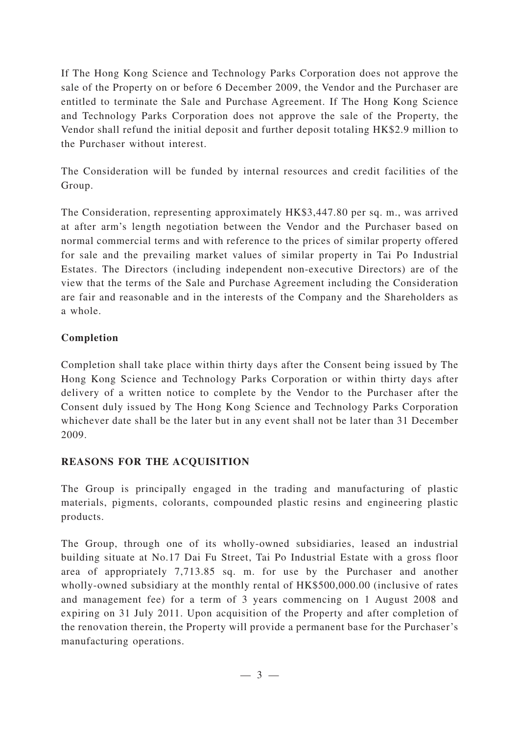If The Hong Kong Science and Technology Parks Corporation does not approve the sale of the Property on or before 6 December 2009, the Vendor and the Purchaser are entitled to terminate the Sale and Purchase Agreement. If The Hong Kong Science and Technology Parks Corporation does not approve the sale of the Property, the Vendor shall refund the initial deposit and further deposit totaling HK\$2.9 million to the Purchaser without interest.

The Consideration will be funded by internal resources and credit facilities of the Group.

The Consideration, representing approximately HK\$3,447.80 per sq. m., was arrived at after arm's length negotiation between the Vendor and the Purchaser based on normal commercial terms and with reference to the prices of similar property offered for sale and the prevailing market values of similar property in Tai Po Industrial Estates. The Directors (including independent non-executive Directors) are of the view that the terms of the Sale and Purchase Agreement including the Consideration are fair and reasonable and in the interests of the Company and the Shareholders as a whole.

## **Completion**

Completion shall take place within thirty days after the Consent being issued by The Hong Kong Science and Technology Parks Corporation or within thirty days after delivery of a written notice to complete by the Vendor to the Purchaser after the Consent duly issued by The Hong Kong Science and Technology Parks Corporation whichever date shall be the later but in any event shall not be later than 31 December 2009.

## **REASONS FOR THE ACQUISITION**

The Group is principally engaged in the trading and manufacturing of plastic materials, pigments, colorants, compounded plastic resins and engineering plastic products.

The Group, through one of its wholly-owned subsidiaries, leased an industrial building situate at No.17 Dai Fu Street, Tai Po Industrial Estate with a gross floor area of appropriately 7,713.85 sq. m. for use by the Purchaser and another wholly-owned subsidiary at the monthly rental of HK\$500,000.00 (inclusive of rates and management fee) for a term of 3 years commencing on 1 August 2008 and expiring on 31 July 2011. Upon acquisition of the Property and after completion of the renovation therein, the Property will provide a permanent base for the Purchaser 's manufacturing operations.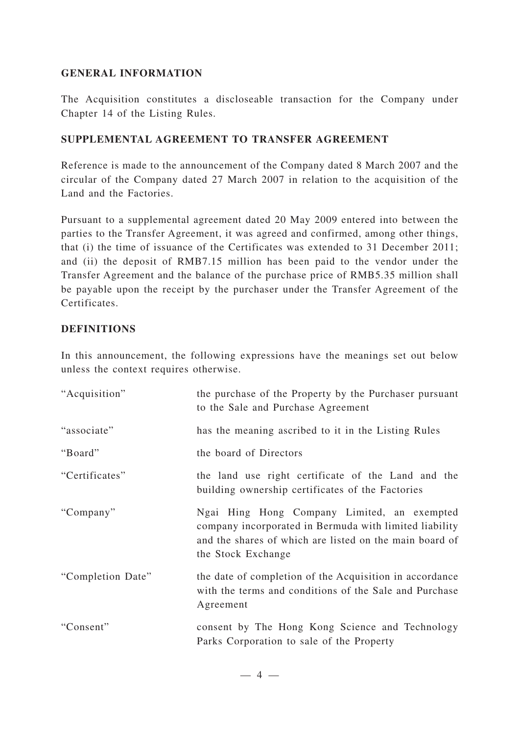#### **GENERAL INFORMATION**

The Acquisition constitutes a discloseable transaction for the Company under Chapter 14 of the Listing Rules.

#### **SUPPLEMENTAL AGREEMENT TO TRANSFER AGREEMENT**

Reference is made to the announcement of the Company dated 8 March 2007 and the circular of the Company dated 27 March 2007 in relation to the acquisition of the Land and the Factories.

Pursuant to a supplemental agreement dated 20 May 2009 entered into between the parties to the Transfer Agreement, it was agreed and confirmed, among other things, that (i) the time of issuance of the Certificates was extended to 31 December 2011; and (ii) the deposit of RMB7.15 million has been paid to the vendor under the Transfer Agreement and the balance of the purchase price of RMB5.35 million shall be payable upon the receipt by the purchaser under the Transfer Agreement of the Certificates.

#### **DEFINITIONS**

In this announcement, the following expressions have the meanings set out below unless the context requires otherwise.

| "Acquisition"     | the purchase of the Property by the Purchaser pursuant<br>to the Sale and Purchase Agreement                                                                                           |
|-------------------|----------------------------------------------------------------------------------------------------------------------------------------------------------------------------------------|
| "associate"       | has the meaning ascribed to it in the Listing Rules                                                                                                                                    |
| "Board"           | the board of Directors                                                                                                                                                                 |
| "Certificates"    | the land use right certificate of the Land and the<br>building ownership certificates of the Factories                                                                                 |
| "Company"         | Ngai Hing Hong Company Limited, an exempted<br>company incorporated in Bermuda with limited liability<br>and the shares of which are listed on the main board of<br>the Stock Exchange |
| "Completion Date" | the date of completion of the Acquisition in accordance<br>with the terms and conditions of the Sale and Purchase<br>Agreement                                                         |
| "Consent"         | consent by The Hong Kong Science and Technology<br>Parks Corporation to sale of the Property                                                                                           |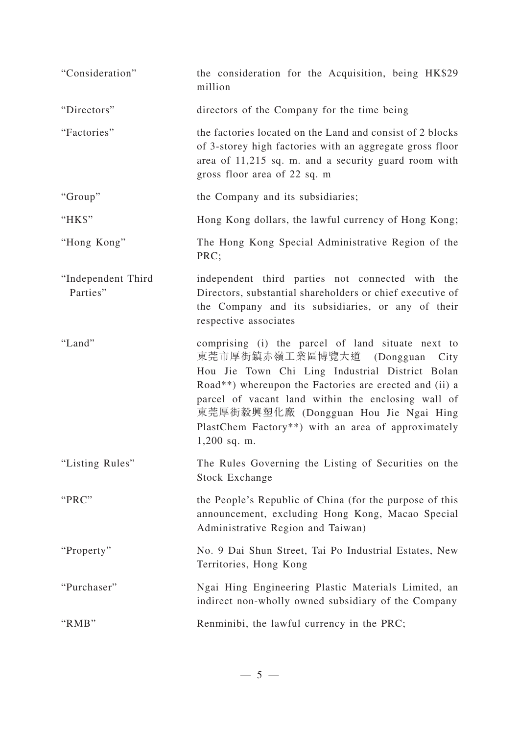| "Consideration"                | the consideration for the Acquisition, being HK\$29<br>million                                                                                                                                                                                                                                                                                                                 |
|--------------------------------|--------------------------------------------------------------------------------------------------------------------------------------------------------------------------------------------------------------------------------------------------------------------------------------------------------------------------------------------------------------------------------|
| "Directors"                    | directors of the Company for the time being                                                                                                                                                                                                                                                                                                                                    |
| "Factories"                    | the factories located on the Land and consist of 2 blocks<br>of 3-storey high factories with an aggregate gross floor<br>area of 11,215 sq. m. and a security guard room with<br>gross floor area of 22 sq. m                                                                                                                                                                  |
| "Group"                        | the Company and its subsidiaries;                                                                                                                                                                                                                                                                                                                                              |
| "HK\$"                         | Hong Kong dollars, the lawful currency of Hong Kong;                                                                                                                                                                                                                                                                                                                           |
| "Hong Kong"                    | The Hong Kong Special Administrative Region of the<br>PRC;                                                                                                                                                                                                                                                                                                                     |
| "Independent Third<br>Parties" | independent third parties not connected with the<br>Directors, substantial shareholders or chief executive of<br>the Company and its subsidiaries, or any of their<br>respective associates                                                                                                                                                                                    |
| "Land"                         | comprising (i) the parcel of land situate next to<br>東莞市厚街鎮赤嶺工業區博覽大道<br>(Dongguan)<br>City<br>Hou Jie Town Chi Ling Industrial District Bolan<br>Road**) whereupon the Factories are erected and (ii) a<br>parcel of vacant land within the enclosing wall of<br>東莞厚街毅興塑化廠 (Dongguan Hou Jie Ngai Hing<br>PlastChem Factory**) with an area of approximately<br>$1,200$ sq. m. |
| "Listing Rules"                | The Rules Governing the Listing of Securities on the<br>Stock Exchange                                                                                                                                                                                                                                                                                                         |
| "PRC"                          | the People's Republic of China (for the purpose of this<br>announcement, excluding Hong Kong, Macao Special<br>Administrative Region and Taiwan)                                                                                                                                                                                                                               |
| "Property"                     | No. 9 Dai Shun Street, Tai Po Industrial Estates, New<br>Territories, Hong Kong                                                                                                                                                                                                                                                                                                |
| "Purchaser"                    | Ngai Hing Engineering Plastic Materials Limited, an<br>indirect non-wholly owned subsidiary of the Company                                                                                                                                                                                                                                                                     |
| "RMB"                          | Renminibi, the lawful currency in the PRC;                                                                                                                                                                                                                                                                                                                                     |